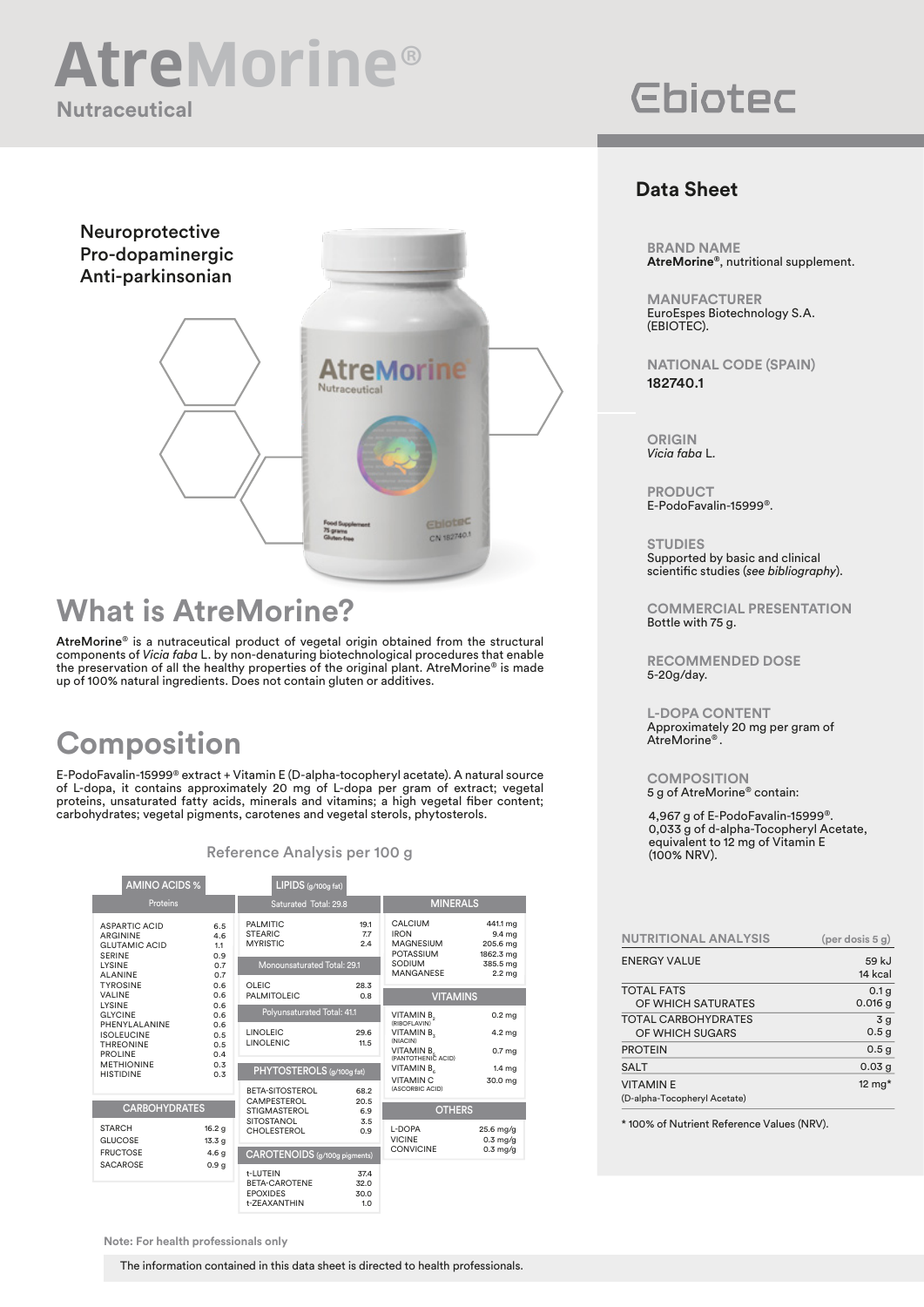## **Nutraceutical AtreMorine**®

## Neuroprotective Pro-dopaminergic Anti-parkinsonian **AtreMorine** Nutraceutical Eblotec 75 grams CN 182740.1

### **What is AtreMorine?**

AtreMorine® is a nutraceutical product of vegetal origin obtained from the structural components of *Vicia faba* L. by non-denaturing biotechnological procedures that enable the preservation of all the healthy properties of the original plant. AtreMorine® is made up of 100% natural ingredients. Does not contain gluten or additives.

## **Composition**

E-PodoFavalin-15999® extract + Vitamin E (D-alpha-tocopheryl acetate). A natural source of L-dopa, it contains approximately 20 mg of L-dopa per gram of extract; vegetal proteins, unsaturated fatty acids, minerals and vitamins; a high vegetal fiber content; carbohydrates; vegetal pigments, carotenes and vegetal sterols, phytosterols.

| <b>AMINO ACIDS %</b>                                                                                                                                                                                                                                                                |                                                                    | LIPIDS (g/100g fat)                                                                 |                             |                                                                                              |                                                                              |
|-------------------------------------------------------------------------------------------------------------------------------------------------------------------------------------------------------------------------------------------------------------------------------------|--------------------------------------------------------------------|-------------------------------------------------------------------------------------|-----------------------------|----------------------------------------------------------------------------------------------|------------------------------------------------------------------------------|
| <b>Proteins</b>                                                                                                                                                                                                                                                                     |                                                                    | Saturated Total: 29.8                                                               |                             | <b>MINERALS</b>                                                                              |                                                                              |
| <b>ASPARTIC ACID</b><br>ARGININE<br><b>GLUTAMIC ACID</b><br><b>SERINE</b><br>LYSINE<br><b>ALANINE</b><br><b>TYROSINE</b><br>VALINE<br>LYSINE<br><b>GLYCINE</b><br>PHENYLALANINE<br><b>ISOLEUCINE</b><br><b>THREONINE</b><br><b>PROLINE</b><br><b>METHIONINE</b><br><b>HISTIDINE</b> | 6.5<br>4.6<br>1.1<br>0.9<br>0.7<br>0.7                             | <b>PALMITIC</b><br><b>STEARIC</b><br><b>MYRISTIC</b><br>Monounsaturated Total: 29.1 | 19.1<br>7.7<br>2.4          | CALCIUM<br><b>IRON</b><br><b>MAGNESIUM</b><br><b>POTASSIUM</b><br>SODIUM<br><b>MANGANESE</b> | 441.1 mg<br>9.4 mg<br>205.6 mg<br>1862.3 mg<br>385.5 mg<br>2.2 <sub>mg</sub> |
|                                                                                                                                                                                                                                                                                     | 0.6<br>0.6<br>0.6<br>0.6<br>0.6<br>0.5<br>0.5<br>0.4<br>0.3<br>0.3 | OLEIC<br><b>PALMITOLEIC</b>                                                         | 28.3<br>0.8                 | <b>VITAMINS</b>                                                                              |                                                                              |
|                                                                                                                                                                                                                                                                                     |                                                                    | Polyunsaturated Total: 41.1                                                         |                             | VITAMIN B.<br>(RIBOFLAVIN)                                                                   | 0.2 <sub>mg</sub>                                                            |
|                                                                                                                                                                                                                                                                                     |                                                                    | <b>LINOLEIC</b><br><b>LINOLENIC</b>                                                 | 29.6<br>11.5                | VITAMIN B.<br>(NIACIN)                                                                       | 4.2 mg                                                                       |
|                                                                                                                                                                                                                                                                                     |                                                                    |                                                                                     |                             | VITAMIN B<br>(PANTOTHENIC ACID)                                                              | 0.7 <sub>mg</sub>                                                            |
|                                                                                                                                                                                                                                                                                     |                                                                    | PHYTOSTEROLS (g/100g fat)                                                           |                             | VITAMIN B<br><b>VITAMIN C</b>                                                                | 1.4 <sub>mg</sub><br>30.0 mg                                                 |
|                                                                                                                                                                                                                                                                                     |                                                                    | BETA-SITOSTEROL<br>CAMPESTEROL                                                      | 68.2<br>20.5                | (ASCORBIC ACID)                                                                              |                                                                              |
| <b>CARBOHYDRATES</b>                                                                                                                                                                                                                                                                |                                                                    | <b>STIGMASTEROL</b><br>6.9<br><b>SITOSTANOL</b><br>3.5                              |                             | <b>OTHERS</b>                                                                                |                                                                              |
| <b>STARCH</b><br><b>GLUCOSE</b>                                                                                                                                                                                                                                                     | 16.2 g<br>13.3 g                                                   | <b>CHOLESTEROL</b>                                                                  | 0.9                         | L-DOPA<br><b>VICINE</b>                                                                      | 25.6 mg/g<br>$0.3$ mg/g                                                      |
| <b>FRUCTOSE</b><br><b>SACAROSE</b>                                                                                                                                                                                                                                                  | 4.6 <sub>g</sub><br>0.9 <sub>g</sub>                               | CAROTENOIDS (g/100g pigments)                                                       |                             | <b>CONVICINE</b>                                                                             | $0.3$ mg/g                                                                   |
|                                                                                                                                                                                                                                                                                     |                                                                    | t-LUTEIN<br>BETA-CAROTENE<br><b>EPOXIDES</b><br>t-ZEAXANTHIN                        | 37.4<br>32.0<br>30.0<br>1.0 |                                                                                              |                                                                              |

#### Reference Analysis per 100 g

# **Ebiotec**

#### **Data Sheet**

**BRAND NAME AtreMorine®**, nutritional supplement.

**MANUFACTURER** EuroEspes Biotechnology S.A. (EBIOTEC).

**NATIONAL CODE (SPAIN)** 182740.1

**ORIGIN** *Vicia faba* L*.*

**PRODUCT** E-PodoFavalin-15999®.

**STUDIES** Supported by basic and clinical scientific studies (*see bibliography*).

**COMMERCIAL PRESENTATION** Bottle with 75 g.

**RECOMMENDED DOSE** 5-20g/day.

**L-DOPA CONTENT** Approximately 20 mg per gram of AtreMorine® .

**COMPOSITION** 5 g of AtreMorine® contain:

4,967 g of E-PodoFavalin-15999®. 0,033 g of d-alpha-Tocopheryl Acetate, equivalent to 12 mg of Vitamin E (100% NRV).

| <b>NUTRITIONAL ANALYSIS</b>  | $(per$ dosis 5 g) |
|------------------------------|-------------------|
| <b>ENERGY VALUE</b>          | 59 kJ<br>14 kcal  |
| <b>TOTAL FATS</b>            | 0.1 <sub>g</sub>  |
| OF WHICH SATURATES           | $0.016$ g         |
| <b>TOTAL CARBOHYDRATES</b>   | 3g                |
| OF WHICH SUGARS              | 0.5 <sub>g</sub>  |
| <b>PROTEIN</b>               | 0.5 <sub>g</sub>  |
| <b>SALT</b>                  | 0.03 <sub>g</sub> |
| <b>VITAMINE</b>              | 12 $mg*$          |
| (D-alpha-Tocopheryl Acetate) |                   |

\* 100% of Nutrient Reference Values (NRV).

**Note: For health professionals only**

The information contained in this data sheet is directed to health professionals.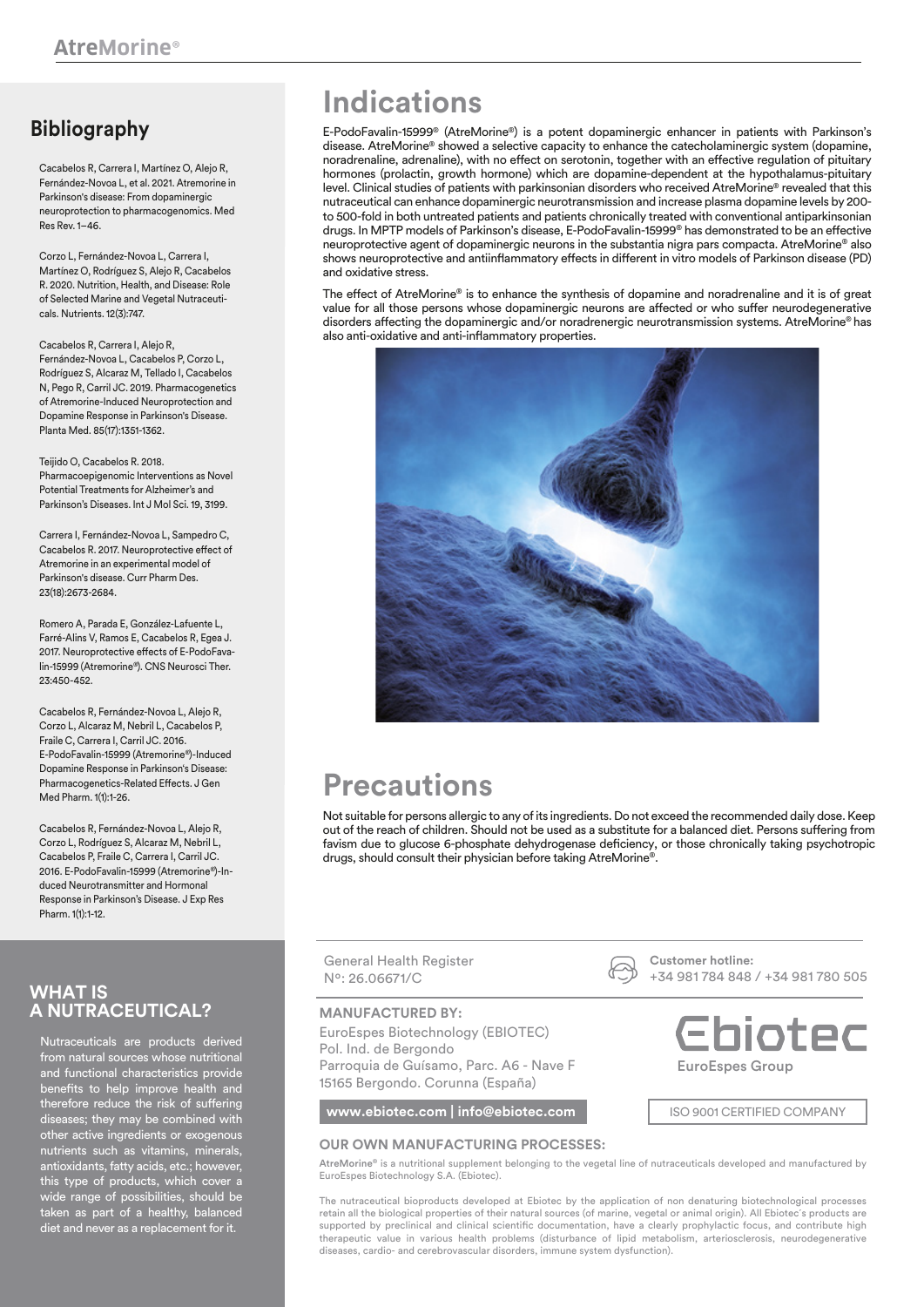### **Bibliography**

Cacabelos R, Carrera I, Martínez O, Alejo R, Fernández-Novoa L, et al. 2021. Atremorine in Parkinson's disease: From dopaminergic neuroprotection to pharmacogenomics. Med Res Rev. 1–46.

Corzo L, Fernández-Novoa L, Carrera I, Martínez O, Rodríguez S, Alejo R, Cacabelos R. 2020. Nutrition, Health, and Disease: Role of Selected Marine and Vegetal Nutraceuticals. Nutrients. 12(3):747.

Cacabelos R, Carrera I, Alejo R, Fernández-Novoa L, Cacabelos P, Corzo L, Rodríguez S, Alcaraz M, Tellado I, Cacabelos N, Pego R, Carril JC. 2019. Pharmacogenetics of Atremorine-Induced Neuroprotection and Dopamine Response in Parkinson's Disease. Planta Med. 85(17):1351-1362.

Teijido O, Cacabelos R, 2018. Pharmacoepigenomic Interventions as Novel Potential Treatments for Alzheimer's and Parkinson's Diseases. Int J Mol Sci. 19, 3199.

Carrera I, Fernández-Novoa L, Sampedro C, Cacabelos R. 2017. Neuroprotective effect of Atremorine in an experimental model of Parkinson's disease. Curr Pharm Des. 23(18):2673-2684.

Romero A, Parada E, González-Lafuente L, Farré-Alins V, Ramos E, Cacabelos R, Egea J. 2017. Neuroprotective effects of E-PodoFavalin-15999 (Atremorine®). CNS Neurosci Ther. 23:450-452.

Cacabelos R, Fernández-Novoa L, Alejo R, Corzo L, Alcaraz M, Nebril L, Cacabelos P, Fraile C, Carrera I, Carril JC. 2016. E-PodoFavalin-15999 (Atremorine®)-Induced Dopamine Response in Parkinson's Disease: Pharmacogenetics-Related Effects. J Gen Med Pharm. 1(1):1-26.

Cacabelos R, Fernández-Novoa L, Alejo R, Corzo L, Rodríguez S, Alcaraz M, Nebril L, Cacabelos P, Fraile C, Carrera I, Carril JC. 2016. E-PodoFavalin-15999 (Atremorine®)-Induced Neurotransmitter and Hormonal Response in Parkinson's Disease. J Exp Res Pharm. 1(1):1-12.

#### **WHAT IS A NUTRACEUTICAL?**

Nutraceuticals are products derived from natural sources whose nutritional and functional characteristics provide benefits to help improve health and therefore reduce the risk of suffering diseases; they may be combined with other active ingredients or exogenous nutrients such as vitamins, minerals, antioxidants, fatty acids, etc.; however, this type of products, which cover a wide range of possibilities, should be taken as part of a healthy, balanced diet and never as a replacement for it.

## **Indications**

E-PodoFavalin-15999® (AtreMorine®) is a potent dopaminergic enhancer in patients with Parkinson's disease. AtreMorine® showed a selective capacity to enhance the catecholaminergic system (dopamine, noradrenaline, adrenaline), with no effect on serotonin, together with an effective regulation of pituitary hormones (prolactin, growth hormone) which are dopamine-dependent at the hypothalamus-pituitary level. Clinical studies of patients with parkinsonian disorders who received AtreMorine® revealed that this nutraceutical can enhance dopaminergic neurotransmission and increase plasma dopamine levels by 200 to 500-fold in both untreated patients and patients chronically treated with conventional antiparkinsonian drugs. In MPTP models of Parkinson's disease, E-PodoFavalin-15999® has demonstrated to be an effective neuroprotective agent of dopaminergic neurons in the substantia nigra pars compacta. AtreMorine® also shows neuroprotective and antiinflammatory effects in different in vitro models of Parkinson disease (PD) and oxidative stress.

The effect of AtreMorine® is to enhance the synthesis of dopamine and noradrenaline and it is of great value for all those persons whose dopaminergic neurons are affected or who suffer neurodegenerative disorders affecting the dopaminergic and/or noradrenergic neurotransmission systems. AtreMorine® has also anti-oxidative and anti-inflammatory properties.



## **Precautions**

Not suitable for persons allergic to any of its ingredients. Do not exceed the recommended daily dose. Keep out of the reach of children. Should not be used as a substitute for a balanced diet. Persons suffering from favism due to glucose 6-phosphate dehydrogenase deficiency, or those chronically taking psychotropic drugs, should consult their physician before taking AtreMorine®.

General Health Register Nº: 26.06671/C

#### **MANUFACTURED BY:**

EuroEspes Biotechnology (EBIOTEC) Pol. Ind. de Bergondo Parroquia de Guísamo, Parc. A6 - Nave F 15165 Bergondo. Corunna (España)

**www.ebiotec.com | info@ebiotec.com | ISO 9001 CERTIFIED COMPANY** 

#### **OUR OWN MANUFACTURING PROCESSES:**

AtreMorine® is a nutritional supplement belonging to the vegetal line of nutraceuticals developed and manufactured by EuroEspes Biotechnology S.A. (Ebiotec).

The nutraceutical bioproducts developed at Ebiotec by the application of non denaturing biotechnological processes retain all the biological properties of their natural sources (of marine, vegetal or animal origin). All Ebiotec´s products are supported by preclinical and clinical scientific documentation, have a clearly prophylactic focus, and contribute high therapeutic value in various health problems (disturbance of lipid metabolism, arteriosclerosis, neurodegenerative diseases, cardio- and cerebrovascular disorders, immune system dysfunction).

**Customer hotline:**  +34 981 784 848 / +34 981 780 505

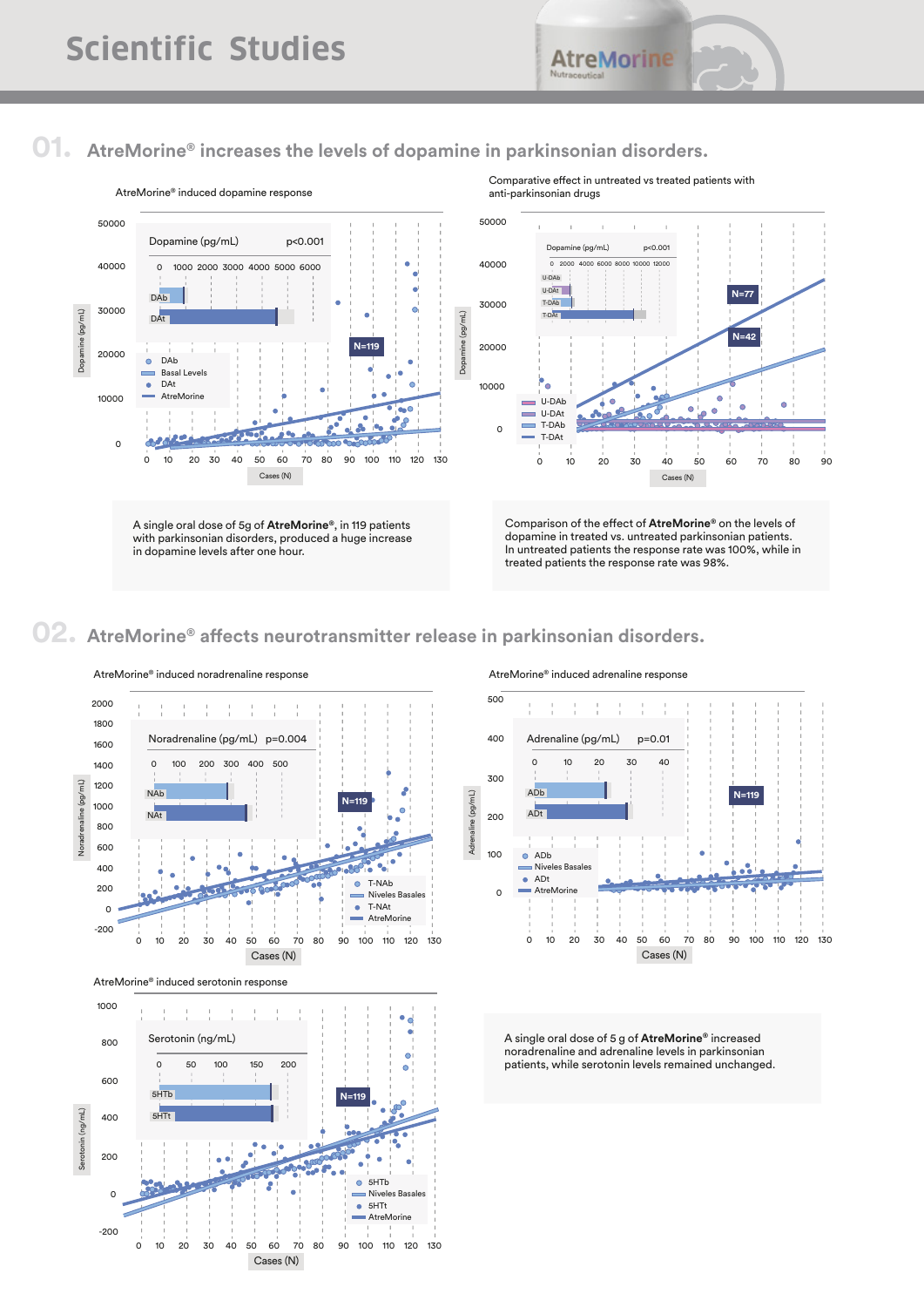### **01. AtreMorine® increases the levels of dopamine in parkinsonian disorders.**



### **02.** AtreMorine® affects neurotransmitter release in parkinsonian disorders.



AtreMorine® induced noradrenaline response

500



AtreMorine® induced serotonin response



A single oral dose of 5 g of **AtreMorine®** increased noradrenaline and adrenaline levels in parkinsonian patients, while serotonin levels remained unchanged.

#### AtreMorine® induced adrenaline response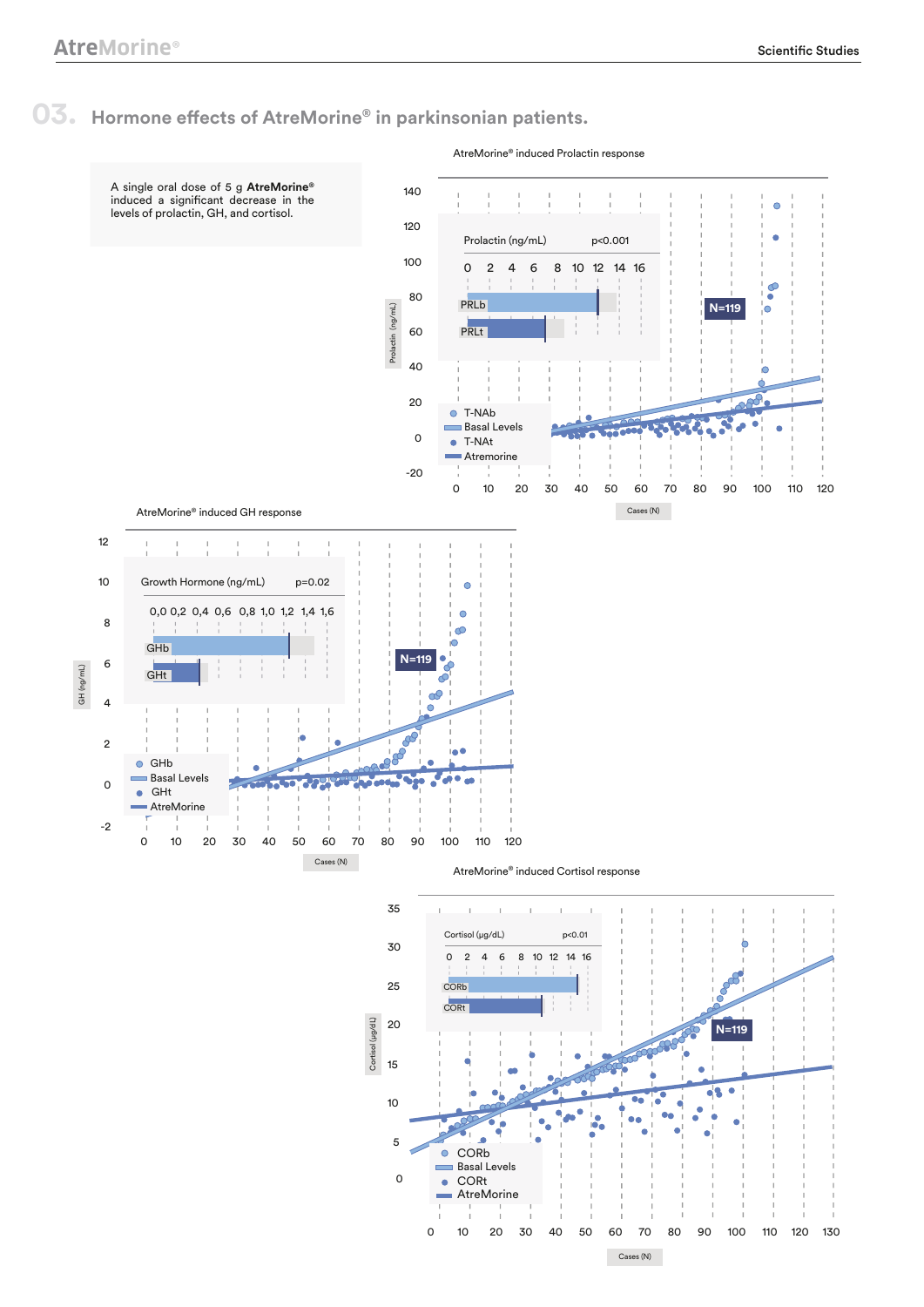### **03.** Hormone effects of AtreMorine® in parkinsonian patients.

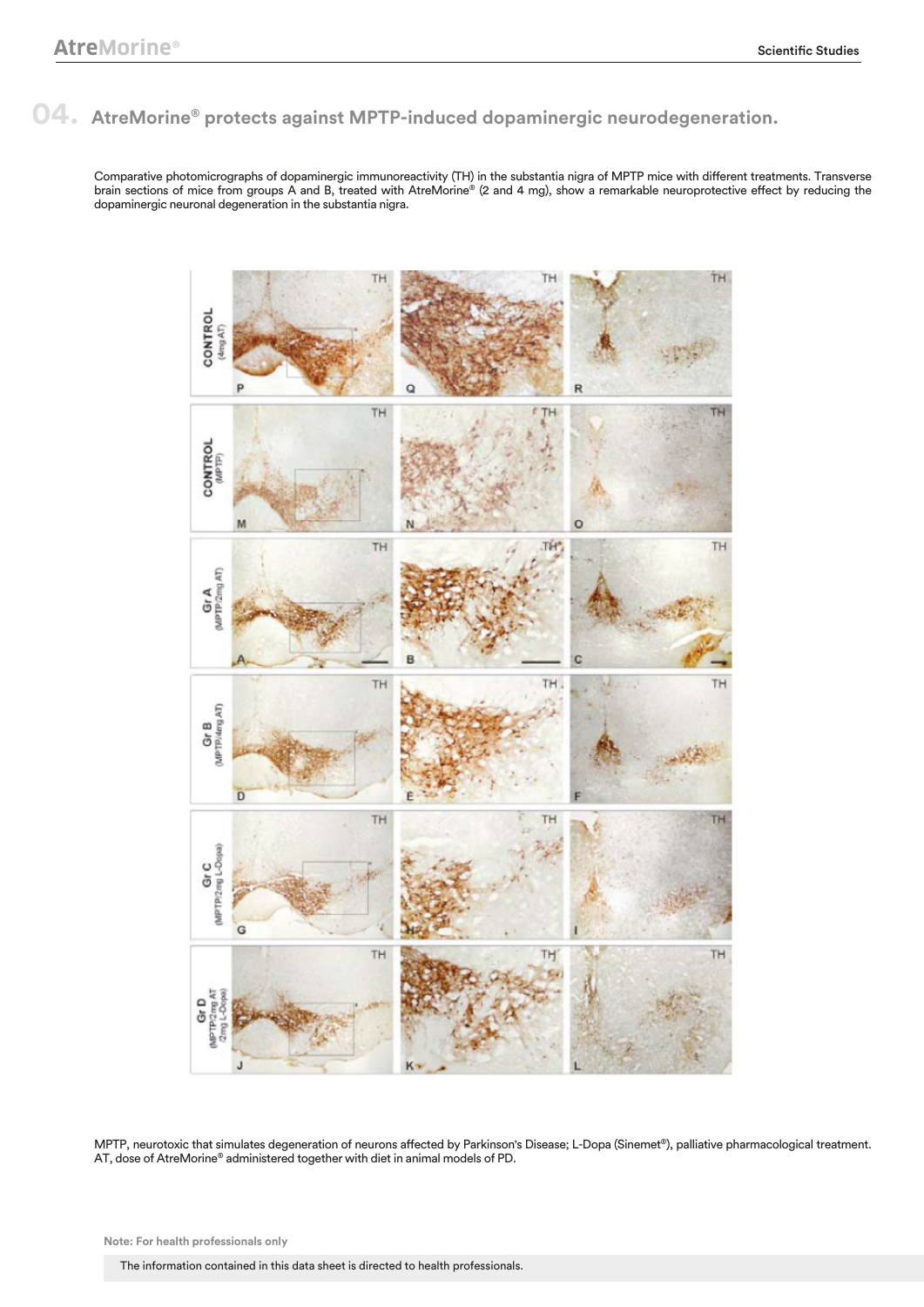### **04. AtreMorine® protects against MPTP-induced dopaminergic neurodegeneration.**

Comparative photomicrographs of dopaminergic immunoreactivity (TH) in the substantia nigra of MPTP mice with different treatments. Transverse brain sections of mice from groups A and B, treated with AtreMorine® (2 and 4 mg), show a remarkable neuroprotective effect by reducing the dopaminergic neuronal degeneration in the substantia nigra.



MPTP, neurotoxic that simulates degeneration of neurons affected by Parkinson's Disease; L-Dopa (Sinemet®), palliative pharmacological treatment. AT, dose of AtreMorine® administered together with diet in animal models of PD.

**Note: For health professionals only**